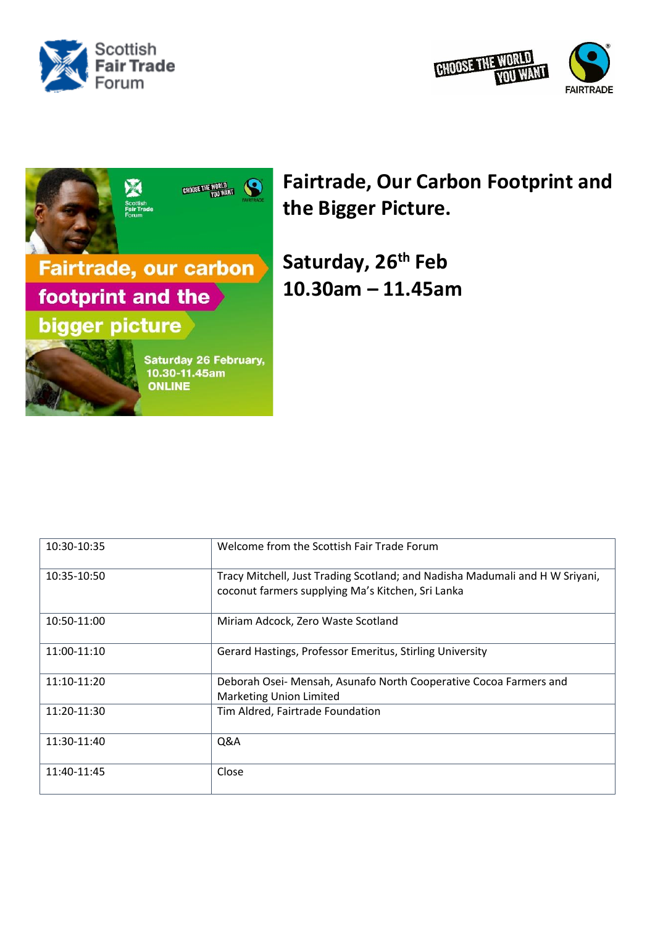





## **Fairtrade, Our Carbon Footprint and the Bigger Picture.**

**Saturday, 26th Feb 10.30am – 11.45am**

| 10:30-10:35 | Welcome from the Scottish Fair Trade Forum                                                                                        |
|-------------|-----------------------------------------------------------------------------------------------------------------------------------|
| 10:35-10:50 | Tracy Mitchell, Just Trading Scotland; and Nadisha Madumali and H W Sriyani,<br>coconut farmers supplying Ma's Kitchen, Sri Lanka |
| 10:50-11:00 | Miriam Adcock, Zero Waste Scotland                                                                                                |
| 11:00-11:10 | Gerard Hastings, Professor Emeritus, Stirling University                                                                          |
| 11:10-11:20 | Deborah Osei- Mensah, Asunafo North Cooperative Cocoa Farmers and<br><b>Marketing Union Limited</b>                               |
| 11:20-11:30 | Tim Aldred, Fairtrade Foundation                                                                                                  |
| 11:30-11:40 | Q&A                                                                                                                               |
| 11:40-11:45 | Close                                                                                                                             |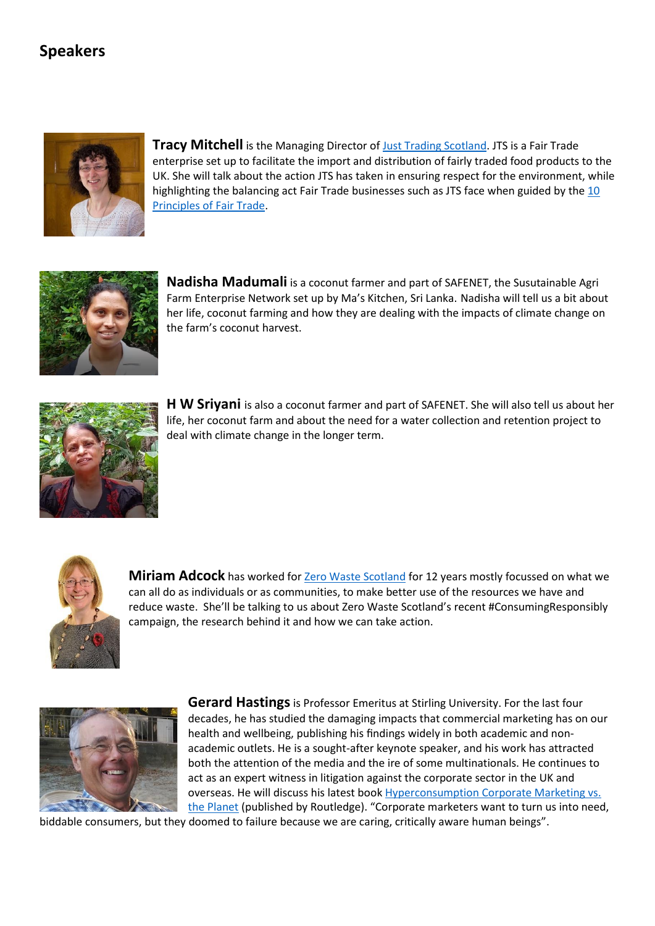## **Speakers**



**Tracy Mitchell** is the Managing Director of [Just Trading Scotland.](https://www.jts.co.uk/) JTS is a Fair Trade enterprise set up to facilitate the import and distribution of fairly traded food products to the UK. She will talk about the action JTS has taken in ensuring respect for the environment, while highlighting the balancing act Fair Trade businesses such as JTS face when guided by the [10](https://wfto.com/sites/default/files/WFTO%20-10%20Principles%20%20of%20Fair%20Trade%20%282017%29.pdf)  [Principles of Fair Trade.](https://wfto.com/sites/default/files/WFTO%20-10%20Principles%20%20of%20Fair%20Trade%20%282017%29.pdf)



**Nadisha Madumali** is a coconut farmer and part of SAFENET, the Susutainable Agri Farm Enterprise Network set up by Ma's Kitchen, Sri Lanka. Nadisha will tell us a bit about her life, coconut farming and how they are dealing with the impacts of climate change on the farm's coconut harvest.



**H W Sriyani** is also a coconut farmer and part of SAFENET. She will also tell us about her life, her coconut farm and about the need for a water collection and retention project to deal with climate change in the longer term.



**Miriam Adcock** has worked for **Zero Waste Scotland** for 12 years mostly focussed on what we can all do as individuals or as communities, to make better use of the resources we have and reduce waste. She'll be talking to us about Zero Waste Scotland's recent #ConsumingResponsibly campaign, the research behind it and how we can take action.



**Gerard Hastings** is Professor Emeritus at Stirling University. For the last four decades, he has studied the damaging impacts that commercial marketing has on our health and wellbeing, publishing his findings widely in both academic and nonacademic outlets. He is a sought-after keynote speaker, and his work has attracted both the attention of the media and the ire of some multinationals. He continues to act as an expert witness in litigation against the corporate sector in the UK and overseas. He will discuss his latest book [Hyperconsumption Corporate Marketing vs.](https://www.routledge.com/Hyperconsumption-Corporate-Marketing-vs-the-Planet/Hastings/p/book/9781032214641)  [the Planet](https://www.routledge.com/Hyperconsumption-Corporate-Marketing-vs-the-Planet/Hastings/p/book/9781032214641) (published by Routledge). "Corporate marketers want to turn us into need,

biddable consumers, but they doomed to failure because we are caring, critically aware human beings".